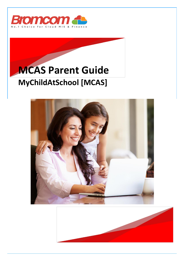

## **MCAS Parent Guide MyChildAtSchool [MCAS]**



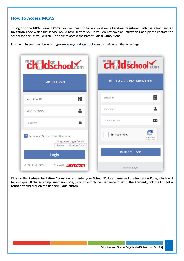## **How to Access MCAS**

To login to the **MCAS Parent Portal** you will need to have a valid e-mail address registered with the school and an **Invitation Code** which the school would have sent to you. If you do not have an **Invitation Code** please contact the school for one, as you will **NOT** be able to access the **Parent Portal** without one.

From within your web browser type **[www.mychildatschool.com](http://www.mychildatschool.com/)** this will open the login page.

| <b>Chaldschool.com</b>                                                                        | <b>Childschool Som</b>                                 |  |
|-----------------------------------------------------------------------------------------------|--------------------------------------------------------|--|
| <b>PARENT LOGIN</b>                                                                           | <b>REDEEM YOUR INVITATION CODE</b>                     |  |
| 圓<br>Your School ID                                                                           | ▦<br>School ID                                         |  |
| Your User Name                                                                                | Username                                               |  |
| Password                                                                                      | <b>Invitation Code</b>                                 |  |
| Remember School ID and Username<br>Forgotten Login Details?<br><b>Redeem Invitation Code?</b> | I'm not a robot<br><b>reCAPTCHA</b><br>Privacy - Terms |  |
| Login                                                                                         | <b>Redeem Code</b>                                     |  |
| Powered by <b>Bromcom</b><br>v5.2019.7195.22715                                               | <b>Back to Login</b>                                   |  |

Click on the **Redeem Invitation Code?** link and enter your **School ID**, **Username** and the **Invitation Code**, which will be a unique 10 character alphanumeric code, [which can only be used once to setup the **Account**], tick the **I'm not a robot** box and click on the **Redeem Code** button.

**2**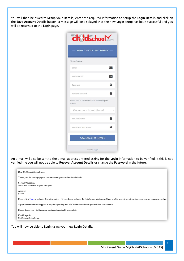You will then be asked to **Setup** your **Details**, enter the required information to setup the **Login Details** and click on the **Save Account Details** button, a message will be displayed that the new **Login** setup has been successful and you will be returned to the **Login** page.

| Chaldschool.com                                          |  |  |  |
|----------------------------------------------------------|--|--|--|
| <b>SETUP YOUR ACCOUNT DETAILS</b>                        |  |  |  |
| Miss A Andrews                                           |  |  |  |
| $\checkmark$<br>Email                                    |  |  |  |
| $\overline{\smile}$<br>Confirm Email                     |  |  |  |
| ≏<br>Password                                            |  |  |  |
| ≏<br>Confirm Password                                    |  |  |  |
| Select a security question and then type your<br>answer. |  |  |  |
| What was your childhood nickname?<br>$\mathbf{v}$        |  |  |  |
| <b>Q</b><br>Security Answer                              |  |  |  |
| Confirm Security Answer                                  |  |  |  |
| <b>Save Account Details</b>                              |  |  |  |
| Back to Login                                            |  |  |  |

An e-mail will also be sent to the e-mail address entered asking for the **Login** information to be verified, if this is not verified the you will not be able to **Recover Account Details** or change the **Password** in the future.

| Dear MyChildAtSchool user,                                                                                                                                              |  |
|-------------------------------------------------------------------------------------------------------------------------------------------------------------------------|--|
| Thank you for setting up your username and password retrieval details.                                                                                                  |  |
| Security Question:                                                                                                                                                      |  |
| What was the name of your first pet?                                                                                                                                    |  |
| Answer:<br>$S***$                                                                                                                                                       |  |
| Please click Here to validate this information – If you do not validate the details provided you will not be able to retrieve a forgotten username or password on-line. |  |
| A pop-up reminder will appear every time you log into MyChildatSchool until you validate these details.                                                                 |  |
| Please do not reply to this email as it is automatically generated.                                                                                                     |  |
| Kind Regards<br>MyChildAtSchool.com                                                                                                                                     |  |

You will now be able to **Login** using your new **Login Details**.

**3**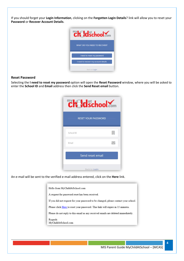If you should forget your **Login Information**, clicking on the **Forgotten Login Details**? link will allow you to reset your **Password** or **Recover Account Details**.



## **Reset Password**

Selecting the **I need to reset my password** option will open the **Reset Password** window, where you will be asked to enter the **School ID** and **Email** address then click the **Send Reset email** button.

| Ch dschool.com             |  |  |  |
|----------------------------|--|--|--|
| <b>RESET YOUR PASSWORD</b> |  |  |  |
| School ID                  |  |  |  |
| Email                      |  |  |  |
| Send reset email           |  |  |  |
| Back to Login              |  |  |  |

An e-mail will be sent to the verified e-mail address entered, click on the **Here** link.

| Hello from MyChildAtSchool.com                                                      |
|-------------------------------------------------------------------------------------|
| A request for password reset has been received.                                     |
| If you did not request for your password to be changed, please contact your school. |
| Please click Here to reset your password. This link will expire in 15 minutes.      |
| Please do not reply to this email as any received emails are deleted immediately.   |
| Regards<br>MyChildAtSchool.com                                                      |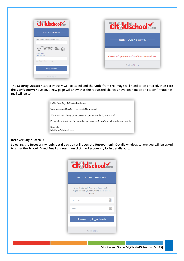| <b>Chaldschool.com</b>                 | <b>Chaldschool.com</b>                      |
|----------------------------------------|---------------------------------------------|
| <b>RESET YOUR PASSWORD</b>             |                                             |
| "What was the name of your first pet?" | <b>RESET YOUR PASSWORD</b>                  |
| TYKLO                                  |                                             |
| Change image                           |                                             |
| Get Audio Code                         | Password updated and confimation email sent |
| Type the code from the image           | Back to Sign in                             |
| <b>Verify Answer</b>                   |                                             |

The **Security Question** set previously will be asked and the **Code** from the image will need to be entered, then click the **Verify Answer** button, a new page will show that the requested changes have been made and a confirmation email will be sent.

| Hello from MyChildAtSchool.com                                                    |  |
|-----------------------------------------------------------------------------------|--|
| Your password has been successfully updated                                       |  |
| If you did not change your password, please contact your school.                  |  |
| Please do not reply to this email as any received emails are deleted immediately. |  |
| Regards<br>MyChildAtSchool.com                                                    |  |

## **Recover Login Details**

Selecting the **Recover my login details** option will open the **Recover login Details** window, where you will be asked to enter the **School ID** and **Email** address then click the **Recover my login details** button.

|           | <b>RECOVER YOUR LOGIN DETAILS</b>                                                                     |
|-----------|-------------------------------------------------------------------------------------------------------|
|           | Enter the School ID and email that you have<br>registered with your MyChildAtSchool account<br>helow. |
| School ID |                                                                                                       |
| Email     |                                                                                                       |
|           | Recover my login details                                                                              |